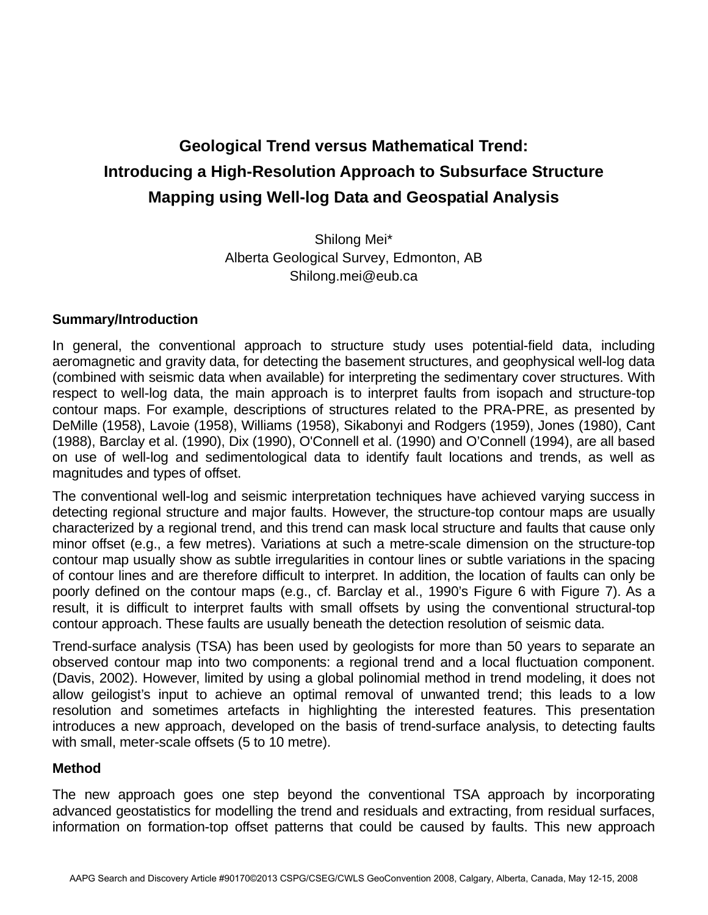# **Geological Trend versus Mathematical Trend: Introducing a High-Resolution Approach to Subsurface Structure Mapping using Well-log Data and Geospatial Analysis**

Shilong Mei\* Alberta Geological Survey, Edmonton, AB Shilong.mei@eub.ca

# **Summary/Introduction**

In general, the conventional approach to structure study uses potential-field data, including aeromagnetic and gravity data, for detecting the basement structures, and geophysical well-log data (combined with seismic data when available) for interpreting the sedimentary cover structures. With respect to well-log data, the main approach is to interpret faults from isopach and structure-top contour maps. For example, descriptions of structures related to the PRA-PRE, as presented by DeMille (1958), Lavoie (1958), Williams (1958), Sikabonyi and Rodgers (1959), Jones (1980), Cant (1988), Barclay et al. (1990), Dix (1990), O'Connell et al. (1990) and O'Connell (1994), are all based on use of well-log and sedimentological data to identify fault locations and trends, as well as magnitudes and types of offset.

The conventional well-log and seismic interpretation techniques have achieved varying success in detecting regional structure and major faults. However, the structure-top contour maps are usually characterized by a regional trend, and this trend can mask local structure and faults that cause only minor offset (e.g., a few metres). Variations at such a metre-scale dimension on the structure-top contour map usually show as subtle irregularities in contour lines or subtle variations in the spacing of contour lines and are therefore difficult to interpret. In addition, the location of faults can only be poorly defined on the contour maps (e.g., cf. Barclay et al., 1990's Figure 6 with Figure 7). As a result, it is difficult to interpret faults with small offsets by using the conventional structural-top contour approach. These faults are usually beneath the detection resolution of seismic data.

Trend-surface analysis (TSA) has been used by geologists for more than 50 years to separate an observed contour map into two components: a regional trend and a local fluctuation component. (Davis, 2002). However, limited by using a global polinomial method in trend modeling, it does not allow geilogist's input to achieve an optimal removal of unwanted trend; this leads to a low resolution and sometimes artefacts in highlighting the interested features. This presentation introduces a new approach, developed on the basis of trend-surface analysis, to detecting faults with small, meter-scale offsets (5 to 10 metre).

### **Method**

The new approach goes one step beyond the conventional TSA approach by incorporating advanced geostatistics for modelling the trend and residuals and extracting, from residual surfaces, information on formation-top offset patterns that could be caused by faults. This new approach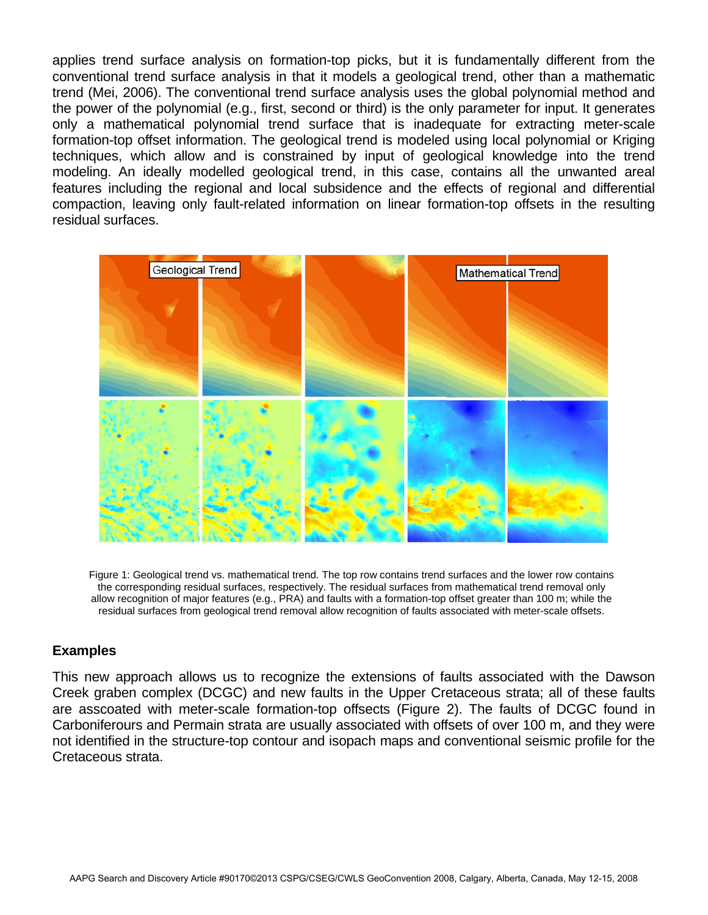applies trend surface analysis on formation-top picks, but it is fundamentally different from the conventional trend surface analysis in that it models a geological trend, other than a mathematic trend (Mei, 2006). The conventional trend surface analysis uses the global polynomial method and the power of the polynomial (e.g., first, second or third) is the only parameter for input. It generates only a mathematical polynomial trend surface that is inadequate for extracting meter-scale formation-top offset information. The geological trend is modeled using local polynomial or Kriging techniques, which allow and is constrained by input of geological knowledge into the trend modeling. An ideally modelled geological trend, in this case, contains all the unwanted areal features including the regional and local subsidence and the effects of regional and differential compaction, leaving only fault-related information on linear formation-top offsets in the resulting residual surfaces.



Figure 1: Geological trend vs. mathematical trend. The top row contains trend surfaces and the lower row contains the corresponding residual surfaces, respectively. The residual surfaces from mathematical trend removal only allow recognition of major features (e.g., PRA) and faults with a formation-top offset greater than 100 m; while the residual surfaces from geological trend removal allow recognition of faults associated with meter-scale offsets.

### **Examples**

This new approach allows us to recognize the extensions of faults associated with the Dawson Creek graben complex (DCGC) and new faults in the Upper Cretaceous strata; all of these faults are asscoated with meter-scale formation-top offsects (Figure 2). The faults of DCGC found in Carboniferours and Permain strata are usually associated with offsets of over 100 m, and they were not identified in the structure-top contour and isopach maps and conventional seismic profile for the Cretaceous strata.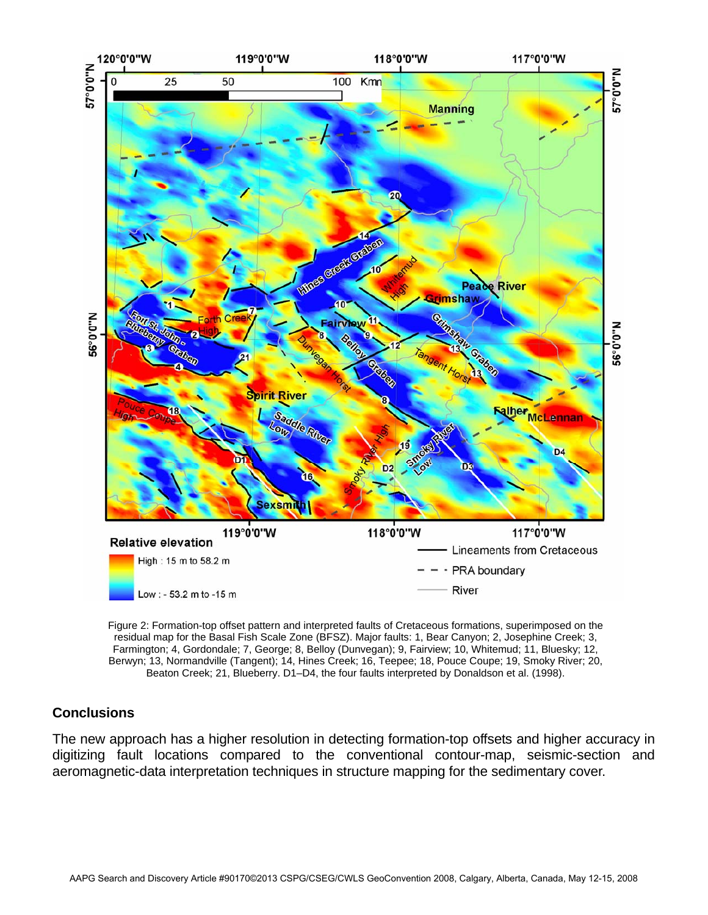

Figure 2: Formation-top offset pattern and interpreted faults of Cretaceous formations, superimposed on the residual map for the Basal Fish Scale Zone (BFSZ). Major faults: 1, Bear Canyon; 2, Josephine Creek; 3, Farmington; 4, Gordondale; 7, George; 8, Belloy (Dunvegan); 9, Fairview; 10, Whitemud; 11, Bluesky; 12, Berwyn; 13, Normandville (Tangent); 14, Hines Creek; 16, Teepee; 18, Pouce Coupe; 19, Smoky River; 20, Beaton Creek; 21, Blueberry. D1–D4, the four faults interpreted by Donaldson et al. (1998).

# **Conclusions**

The new approach has a higher resolution in detecting formation-top offsets and higher accuracy in digitizing fault locations compared to the conventional contour-map, seismic-section and aeromagnetic-data interpretation techniques in structure mapping for the sedimentary cover.